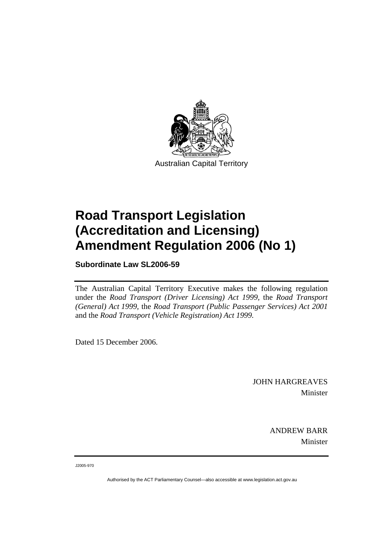

Australian Capital Territory

# **Road Transport Legislation (Accreditation and Licensing) Amendment Regulation 2006 (No 1)**

**Subordinate Law SL2006-59** 

The Australian Capital Territory Executive makes the following regulation under the *Road Transport (Driver Licensing) Act 1999,* the *Road Transport (General) Act 1999,* the *Road Transport (Public Passenger Services) Act 2001*  and the *Road Transport (Vehicle Registration) Act 1999.* 

Dated 15 December 2006.

JOHN HARGREAVES Minister

> ANDREW BARR Minister

J2005-970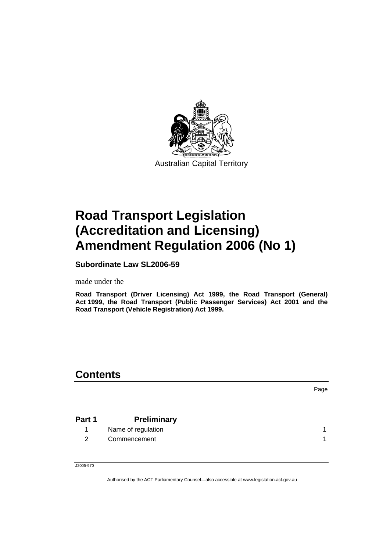

Australian Capital Territory

# **Road Transport Legislation (Accreditation and Licensing) Amendment Regulation 2006 (No 1)**

**Subordinate Law SL2006-59** 

made under the

**Road Transport (Driver Licensing) Act 1999, the Road Transport (General) Act 1999, the Road Transport (Public Passenger Services) Act 2001 and the Road Transport (Vehicle Registration) Act 1999.** 

# **Contents**

Page

| Part 1 | <b>Preliminary</b> |  |
|--------|--------------------|--|
|        | Name of regulation |  |

2 Commencement 1 and 1 and 1 and 1 and 1 and 1 and 1 and 1 and 1 and 1 and 1 and 1 and 1 and 1 and 1 and 1 and 1 and 1 and 1 and 1 and 1 and 1 and 1 and 1 and 1 and 1 and 1 and 1 and 1 and 1 and 1 and 1 and 1 and 1 and 1 a

J2005-970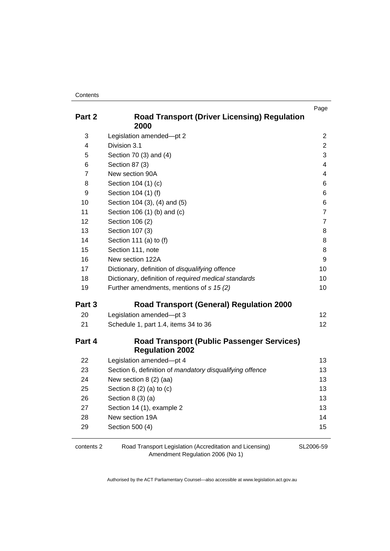| Part 2 | <b>Road Transport (Driver Licensing) Regulation</b><br>2000                 | Page                    |
|--------|-----------------------------------------------------------------------------|-------------------------|
| 3      | Legislation amended-pt 2                                                    | $\overline{c}$          |
| 4      | Division 3.1                                                                | $\overline{2}$          |
| 5      | Section 70 (3) and (4)                                                      | 3                       |
| 6      | Section 87 (3)                                                              | $\overline{\mathbf{4}}$ |
| 7      | New section 90A                                                             | $\overline{\mathbf{4}}$ |
| 8      | Section 104 (1) (c)                                                         | 6                       |
| 9      | Section 104 (1) (f)                                                         | 6                       |
| 10     | Section 104 (3), (4) and (5)                                                | 6                       |
| 11     | Section 106 (1) (b) and (c)                                                 | $\overline{7}$          |
| 12     | Section 106 (2)                                                             | 7                       |
| 13     | Section 107 (3)                                                             | 8                       |
| 14     | Section 111 (a) to (f)                                                      | 8                       |
| 15     | Section 111, note                                                           | 8                       |
| 16     | New section 122A                                                            | 9                       |
| 17     | Dictionary, definition of disqualifying offence                             | 10                      |
| 18     | Dictionary, definition of required medical standards                        | 10                      |
| 19     | Further amendments, mentions of s 15 (2)                                    | 10                      |
| Part 3 | <b>Road Transport (General) Regulation 2000</b>                             |                         |
| 20     | Legislation amended-pt 3                                                    | 12 <sup>2</sup>         |
| 21     | Schedule 1, part 1.4, items 34 to 36                                        | 12 <sup>2</sup>         |
| Part 4 | <b>Road Transport (Public Passenger Services)</b><br><b>Regulation 2002</b> |                         |
| 22     | Legislation amended-pt 4                                                    | 13                      |
| 23     | Section 6, definition of mandatory disqualifying offence                    | 13                      |
| 24     | New section 8 (2) (aa)                                                      | 13                      |
| 25     | Section $8(2)(a)$ to $(c)$                                                  | 13                      |
| 26     | Section $8(3)(a)$                                                           | 13                      |
| 27     | Section 14 (1), example 2                                                   | 13                      |
| 28     | New section 19A                                                             | 14                      |
| 29     | Section 500 (4)                                                             | 15                      |
|        |                                                                             |                         |

contents 2 Road Transport Legislation (Accreditation and Licensing) Amendment Regulation 2006 (No 1) SL2006-59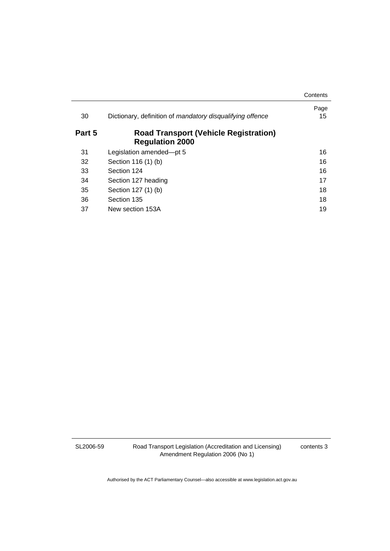|        |                                                                        | Contents   |
|--------|------------------------------------------------------------------------|------------|
| 30     | Dictionary, definition of mandatory disqualifying offence              | Page<br>15 |
| Part 5 | <b>Road Transport (Vehicle Registration)</b><br><b>Regulation 2000</b> |            |
| 31     | Legislation amended-pt 5                                               | 16         |
| 32     | Section 116 (1) (b)                                                    | 16         |
| 33     | Section 124                                                            | 16         |
| 34     | Section 127 heading                                                    | 17         |
| 35     | Section 127 (1) (b)                                                    | 18         |
| 36     | Section 135                                                            | 18         |
| 37     | New section 153A                                                       | 19         |

SL2006-59

Road Transport Legislation (Accreditation and Licensing) Amendment Regulation 2006 (No 1)

contents 3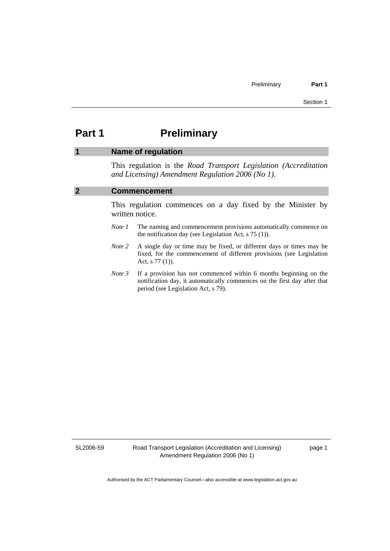# **Part 1** Preliminary

# **1 Name of regulation**

This regulation is the *Road Transport Legislation (Accreditation and Licensing) Amendment Regulation 2006 (No 1)*.

# **2 Commencement**

This regulation commences on a day fixed by the Minister by written notice.

- *Note 1* The naming and commencement provisions automatically commence on the notification day (see Legislation Act, s 75 (1)).
- *Note 2* A single day or time may be fixed, or different days or times may be fixed, for the commencement of different provisions (see Legislation Act, s 77 (1)).
- *Note 3* If a provision has not commenced within 6 months beginning on the notification day, it automatically commences on the first day after that period (see Legislation Act, s 79).

SL2006-59

Road Transport Legislation (Accreditation and Licensing) Amendment Regulation 2006 (No 1)

page 1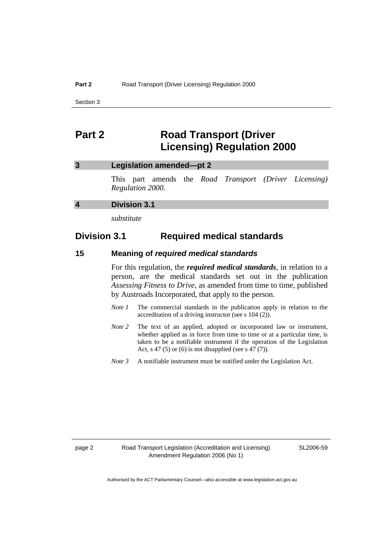# **Part 2 Road Transport (Driver Licensing) Regulation 2000**

# **3 Legislation amended—pt 2**

This part amends the *Road Transport (Driver Licensing) Regulation 2000*.

# **4 Division 3.1**

*substitute* 

# **Division 3.1 Required medical standards**

#### **15 Meaning of** *required medical standards*

For this regulation, the *required medical standards*, in relation to a person, are the medical standards set out in the publication *Assessing Fitness to Drive*, as amended from time to time, published by Austroads Incorporated, that apply to the person.

- *Note 1* The commercial standards in the publication apply in relation to the accreditation of a driving instructor (see s 104 (2)).
- *Note 2* The text of an applied, adopted or incorporated law or instrument, whether applied as in force from time to time or at a particular time, is taken to be a notifiable instrument if the operation of the Legislation Act, s 47 (5) or (6) is not disapplied (see s  $47(7)$ ).
- *Note 3* A notifiable instrument must be notified under the Legislation Act.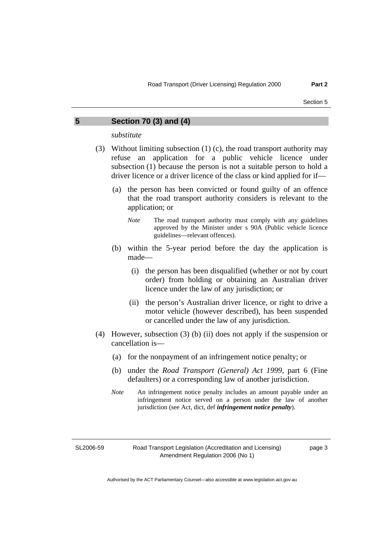#### **5 Section 70 (3) and (4)**

*substitute* 

- (3) Without limiting subsection (1) (c), the road transport authority may refuse an application for a public vehicle licence under subsection (1) because the person is not a suitable person to hold a driver licence or a driver licence of the class or kind applied for if—
	- (a) the person has been convicted or found guilty of an offence that the road transport authority considers is relevant to the application; or
		- *Note* The road transport authority must comply with any guidelines approved by the Minister under s 90A (Public vehicle licence guidelines—relevant offences).
	- (b) within the 5-year period before the day the application is made—
		- (i) the person has been disqualified (whether or not by court order) from holding or obtaining an Australian driver licence under the law of any jurisdiction; or
		- (ii) the person's Australian driver licence, or right to drive a motor vehicle (however described), has been suspended or cancelled under the law of any jurisdiction.
- (4) However, subsection (3) (b) (ii) does not apply if the suspension or cancellation is—
	- (a) for the nonpayment of an infringement notice penalty; or
	- (b) under the *Road Transport (General) Act 1999,* part 6 (Fine defaulters) or a corresponding law of another jurisdiction.
	- *Note* An infringement notice penalty includes an amount payable under an infringement notice served on a person under the law of another jurisdiction (see Act, dict, def *infringement notice penalty*).

SL2006-59

Road Transport Legislation (Accreditation and Licensing) Amendment Regulation 2006 (No 1)

page 3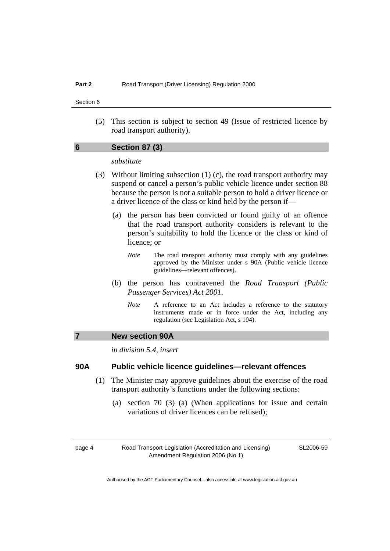(5) This section is subject to section 49 (Issue of restricted licence by road transport authority).

# **6 Section 87 (3)**

# *substitute*

- (3) Without limiting subsection (1) (c), the road transport authority may suspend or cancel a person's public vehicle licence under section 88 because the person is not a suitable person to hold a driver licence or a driver licence of the class or kind held by the person if—
	- (a) the person has been convicted or found guilty of an offence that the road transport authority considers is relevant to the person's suitability to hold the licence or the class or kind of licence; or
		- *Note* The road transport authority must comply with any guidelines approved by the Minister under s 90A (Public vehicle licence guidelines—relevant offences).
	- (b) the person has contravened the *Road Transport (Public Passenger Services) Act 2001*.
		- *Note* A reference to an Act includes a reference to the statutory instruments made or in force under the Act, including any regulation (see Legislation Act, s 104).

#### **7 New section 90A**

*in division 5.4, insert* 

# **90A Public vehicle licence guidelines—relevant offences**

- (1) The Minister may approve guidelines about the exercise of the road transport authority's functions under the following sections:
	- (a) section 70 (3) (a) (When applications for issue and certain variations of driver licences can be refused);

page 4 Road Transport Legislation (Accreditation and Licensing) Amendment Regulation 2006 (No 1)

SL2006-59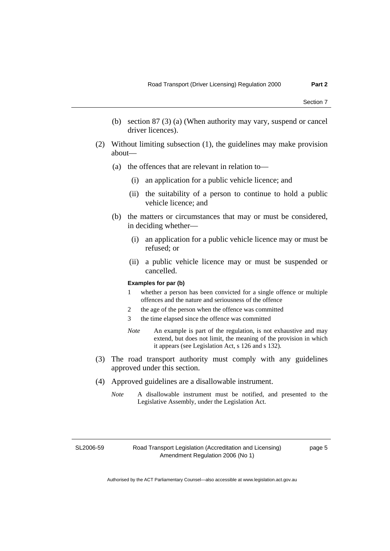- (b) section 87 (3) (a) (When authority may vary, suspend or cancel driver licences).
- (2) Without limiting subsection (1), the guidelines may make provision about—
	- (a) the offences that are relevant in relation to—
		- (i) an application for a public vehicle licence; and
		- (ii) the suitability of a person to continue to hold a public vehicle licence; and
	- (b) the matters or circumstances that may or must be considered, in deciding whether—
		- (i) an application for a public vehicle licence may or must be refused; or
		- (ii) a public vehicle licence may or must be suspended or cancelled.

#### **Examples for par (b)**

- 1 whether a person has been convicted for a single offence or multiple offences and the nature and seriousness of the offence
- 2 the age of the person when the offence was committed
- 3 the time elapsed since the offence was committed
- *Note* An example is part of the regulation, is not exhaustive and may extend, but does not limit, the meaning of the provision in which it appears (see Legislation Act, s 126 and s 132).
- (3) The road transport authority must comply with any guidelines approved under this section.
- (4) Approved guidelines are a disallowable instrument.
	- *Note* A disallowable instrument must be notified, and presented to the Legislative Assembly, under the Legislation Act.

SL2006-59

page 5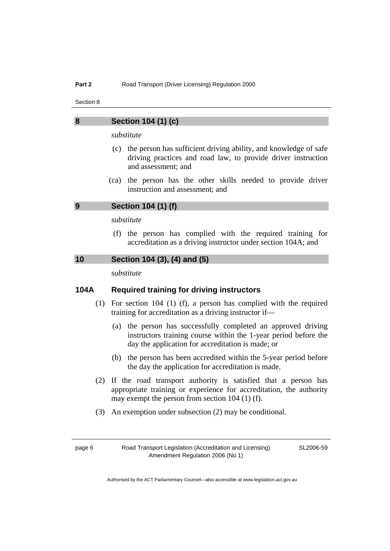# **8 Section 104 (1) (c)**

*substitute* 

- (c) the person has sufficient driving ability, and knowledge of safe driving practices and road law, to provide driver instruction and assessment; and
- (ca) the person has the other skills needed to provide driver instruction and assessment; and

## **9 Section 104 (1) (f)**

# *substitute*

 (f) the person has complied with the required training for accreditation as a driving instructor under section 104A; and

#### **10 Section 104 (3), (4) and (5)**

*substitute* 

# **104A Required training for driving instructors**

- (1) For section 104 (1) (f), a person has complied with the required training for accreditation as a driving instructor if—
	- (a) the person has successfully completed an approved driving instructors training course within the 1-year period before the day the application for accreditation is made; or
	- (b) the person has been accredited within the 5-year period before the day the application for accreditation is made.
- (2) If the road transport authority is satisfied that a person has appropriate training or experience for accreditation, the authority may exempt the person from section 104 (1) (f).
- (3) An exemption under subsection (2) may be conditional.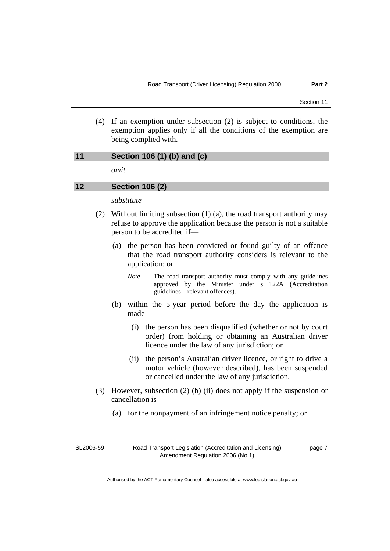(4) If an exemption under subsection (2) is subject to conditions, the exemption applies only if all the conditions of the exemption are being complied with.

#### **11 Section 106 (1) (b) and (c)**

*omit* 

#### **12 Section 106 (2)**

*substitute* 

- (2) Without limiting subsection (1) (a), the road transport authority may refuse to approve the application because the person is not a suitable person to be accredited if—
	- (a) the person has been convicted or found guilty of an offence that the road transport authority considers is relevant to the application; or
		- *Note* The road transport authority must comply with any guidelines approved by the Minister under s 122A (Accreditation guidelines—relevant offences).
	- (b) within the 5-year period before the day the application is made—
		- (i) the person has been disqualified (whether or not by court order) from holding or obtaining an Australian driver licence under the law of any jurisdiction; or
		- (ii) the person's Australian driver licence, or right to drive a motor vehicle (however described), has been suspended or cancelled under the law of any jurisdiction.
- (3) However, subsection (2) (b) (ii) does not apply if the suspension or cancellation is—
	- (a) for the nonpayment of an infringement notice penalty; or

SL2006-59

page 7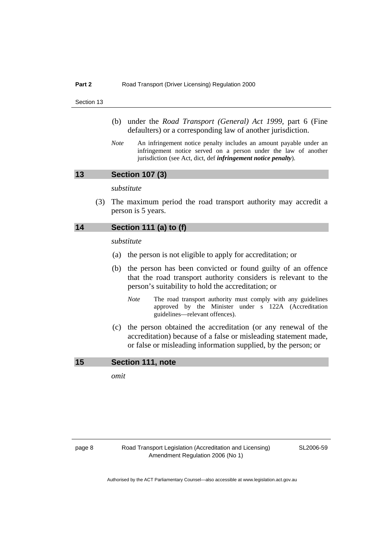- (b) under the *Road Transport (General) Act 1999,* part 6 (Fine defaulters) or a corresponding law of another jurisdiction.
- *Note* An infringement notice penalty includes an amount payable under an infringement notice served on a person under the law of another jurisdiction (see Act, dict, def *infringement notice penalty*).

#### **13 Section 107 (3)**

*substitute* 

 (3) The maximum period the road transport authority may accredit a person is 5 years.

# **14 Section 111 (a) to (f)**

*substitute* 

- (a) the person is not eligible to apply for accreditation; or
- (b) the person has been convicted or found guilty of an offence that the road transport authority considers is relevant to the person's suitability to hold the accreditation; or
	- *Note* The road transport authority must comply with any guidelines approved by the Minister under s 122A (Accreditation guidelines—relevant offences).
- (c) the person obtained the accreditation (or any renewal of the accreditation) because of a false or misleading statement made, or false or misleading information supplied, by the person; or

**15 Section 111, note** 

*omit*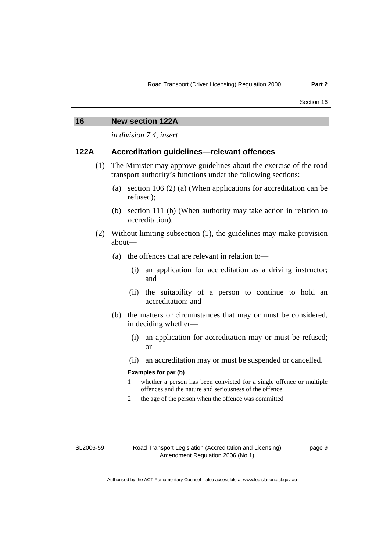| 16   | <b>New section 122A</b>                                                                                                                 |
|------|-----------------------------------------------------------------------------------------------------------------------------------------|
|      | <i>in division 7.4, insert</i>                                                                                                          |
| 122A | Accreditation guidelines—relevant offences                                                                                              |
|      | (1) The Minister may approve guidelines about the exercise of the road<br>transport authority's functions under the following sections: |

- (a) section 106 (2) (a) (When applications for accreditation can be refused);
- (b) section 111 (b) (When authority may take action in relation to accreditation).
- (2) Without limiting subsection (1), the guidelines may make provision about—
	- (a) the offences that are relevant in relation to—
		- (i) an application for accreditation as a driving instructor; and
		- (ii) the suitability of a person to continue to hold an accreditation; and
	- (b) the matters or circumstances that may or must be considered, in deciding whether—
		- (i) an application for accreditation may or must be refused; or
		- (ii) an accreditation may or must be suspended or cancelled.

### **Examples for par (b)**

- 1 whether a person has been convicted for a single offence or multiple offences and the nature and seriousness of the offence
- 2 the age of the person when the offence was committed

SL2006-59

Road Transport Legislation (Accreditation and Licensing) Amendment Regulation 2006 (No 1)

page 9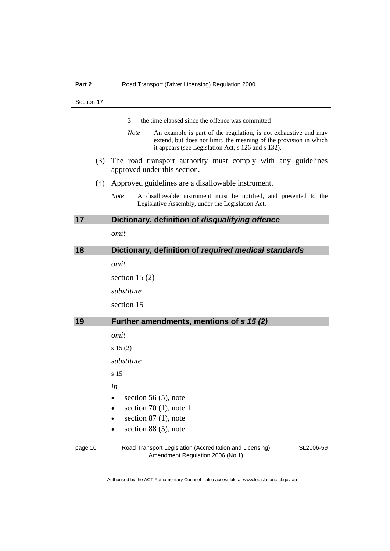|    |     | 3<br>the time elapsed since the offence was committed                                                                                                                                                     |
|----|-----|-----------------------------------------------------------------------------------------------------------------------------------------------------------------------------------------------------------|
|    |     | <b>Note</b><br>An example is part of the regulation, is not exhaustive and may<br>extend, but does not limit, the meaning of the provision in which<br>it appears (see Legislation Act, s 126 and s 132). |
|    | (3) | The road transport authority must comply with any guidelines<br>approved under this section.                                                                                                              |
|    | (4) | Approved guidelines are a disallowable instrument.                                                                                                                                                        |
|    |     | <b>Note</b><br>A disallowable instrument must be notified, and presented to the<br>Legislative Assembly, under the Legislation Act.                                                                       |
| 17 |     | Dictionary, definition of disqualifying offence                                                                                                                                                           |
|    |     | omit                                                                                                                                                                                                      |
| 18 |     | Dictionary, definition of required medical standards                                                                                                                                                      |
|    |     | omit                                                                                                                                                                                                      |
|    |     | section 15 $(2)$                                                                                                                                                                                          |
|    |     | substitute                                                                                                                                                                                                |
|    |     | section 15                                                                                                                                                                                                |
| 19 |     | Further amendments, mentions of s 15 (2)                                                                                                                                                                  |
|    |     | omit                                                                                                                                                                                                      |
|    |     | $s\ 15(2)$                                                                                                                                                                                                |
|    |     | substitute                                                                                                                                                                                                |
|    |     | s <sub>15</sub>                                                                                                                                                                                           |
|    |     | in                                                                                                                                                                                                        |
|    |     | section 56 $(5)$ , note                                                                                                                                                                                   |
|    |     | section 70 $(1)$ , note 1<br>$\bullet$                                                                                                                                                                    |
|    |     | section $87(1)$ , note                                                                                                                                                                                    |
|    |     | section $88(5)$ , note                                                                                                                                                                                    |

page 10 Road Transport Legislation (Accreditation and Licensing) Amendment Regulation 2006 (No 1)

SL2006-59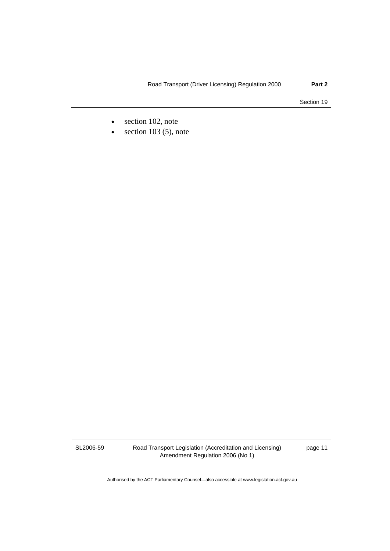- section 102, note
- $\bullet$  section 103 (5), note

SL2006-59

Road Transport Legislation (Accreditation and Licensing) Amendment Regulation 2006 (No 1)

page 11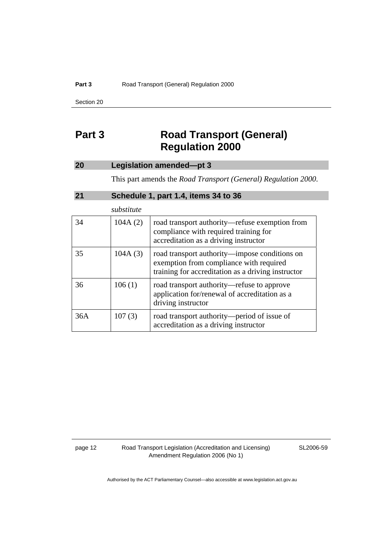#### Part 3 **Road Transport (General) Regulation 2000**

Section 20

# **Part 3 Road Transport (General) Regulation 2000**

# **20 Legislation amended—pt 3**

This part amends the *Road Transport (General) Regulation 2000*.

# **21 Schedule 1, part 1.4, items 34 to 36**

|     | substitute |                                                                                                                                                |
|-----|------------|------------------------------------------------------------------------------------------------------------------------------------------------|
| 34  | 104A(2)    | road transport authority—refuse exemption from<br>compliance with required training for<br>accreditation as a driving instructor               |
| 35  | 104A(3)    | road transport authority—impose conditions on<br>exemption from compliance with required<br>training for accreditation as a driving instructor |
| 36  | 106(1)     | road transport authority—refuse to approve<br>application for/renewal of accreditation as a<br>driving instructor                              |
| 36A | 107(3)     | road transport authority—period of issue of<br>accreditation as a driving instructor                                                           |

page 12 Road Transport Legislation (Accreditation and Licensing) Amendment Regulation 2006 (No 1)

SL2006-59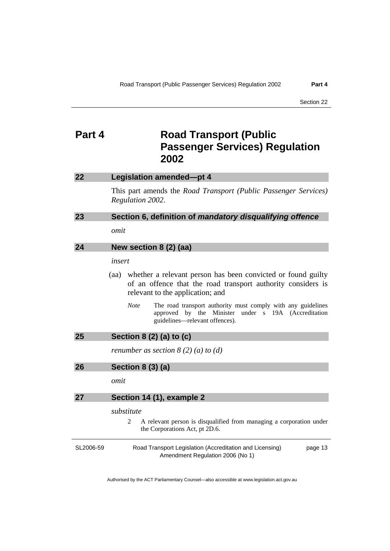# **Part 4** Road Transport (Public **Passenger Services) Regulation 2002**

| 22        | Legislation amended-pt 4                                                                                                                                                 |
|-----------|--------------------------------------------------------------------------------------------------------------------------------------------------------------------------|
|           | This part amends the <i>Road Transport (Public Passenger Services)</i><br>Regulation 2002.                                                                               |
| 23        | Section 6, definition of mandatory disqualifying offence                                                                                                                 |
|           | omit                                                                                                                                                                     |
| 24        | New section 8 (2) (aa)                                                                                                                                                   |
|           | insert                                                                                                                                                                   |
|           | whether a relevant person has been convicted or found guilty<br>(aa)<br>of an offence that the road transport authority considers is<br>relevant to the application; and |
|           | <b>Note</b><br>The road transport authority must comply with any guidelines<br>by the Minister under s 19A (Accreditation<br>approved<br>guidelines—relevant offences).  |
| 25        | Section 8 (2) (a) to (c)                                                                                                                                                 |
|           | renumber as section $8(2)(a)$ to $(d)$                                                                                                                                   |
| 26        | <b>Section 8 (3) (a)</b>                                                                                                                                                 |
|           | omit                                                                                                                                                                     |
| 27        | Section 14 (1), example 2                                                                                                                                                |
|           | substitute                                                                                                                                                               |
|           | 2<br>A relevant person is disqualified from managing a corporation under<br>the Corporations Act, pt 2D.6.                                                               |
| SL2006-59 | Road Transport Legislation (Accreditation and Licensing)<br>page 13<br>Amendment Regulation 2006 (No 1)                                                                  |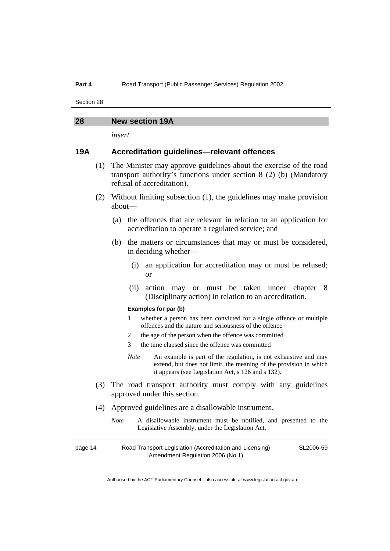# **28 New section 19A**

*insert* 

# **19A Accreditation guidelines—relevant offences**

- (1) The Minister may approve guidelines about the exercise of the road transport authority's functions under section 8 (2) (b) (Mandatory refusal of accreditation).
- (2) Without limiting subsection (1), the guidelines may make provision about—
	- (a) the offences that are relevant in relation to an application for accreditation to operate a regulated service; and
	- (b) the matters or circumstances that may or must be considered, in deciding whether—
		- (i) an application for accreditation may or must be refused; or
		- (ii) action may or must be taken under chapter 8 (Disciplinary action) in relation to an accreditation.

#### **Examples for par (b)**

- 1 whether a person has been convicted for a single offence or multiple offences and the nature and seriousness of the offence
- 2 the age of the person when the offence was committed
- 3 the time elapsed since the offence was committed
- *Note* An example is part of the regulation, is not exhaustive and may extend, but does not limit, the meaning of the provision in which it appears (see Legislation Act, s 126 and s 132).
- (3) The road transport authority must comply with any guidelines approved under this section.
- (4) Approved guidelines are a disallowable instrument.
	- *Note* A disallowable instrument must be notified, and presented to the Legislative Assembly, under the Legislation Act.

| page 14 | Road Transport Legislation (Accreditation and Licensing) | SL2006-59 |
|---------|----------------------------------------------------------|-----------|
|         | Amendment Regulation 2006 (No 1)                         |           |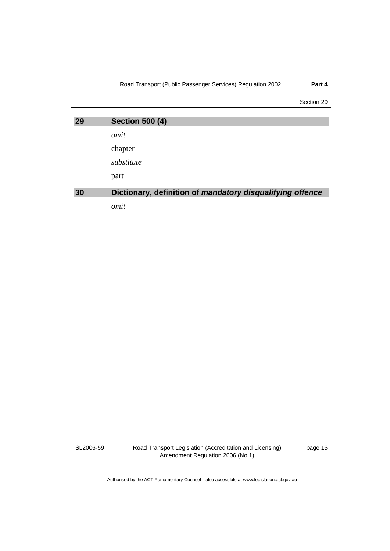Road Transport (Public Passenger Services) Regulation 2002 **Part 4** 

Section 29

| 29 | <b>Section 500 (4)</b>                                    |
|----|-----------------------------------------------------------|
|    | omit                                                      |
|    | chapter                                                   |
|    | substitute                                                |
|    | part                                                      |
| 30 | Dictionary, definition of mandatory disqualifying offence |
|    | omit                                                      |

SL2006-59

Road Transport Legislation (Accreditation and Licensing) Amendment Regulation 2006 (No 1)

page 15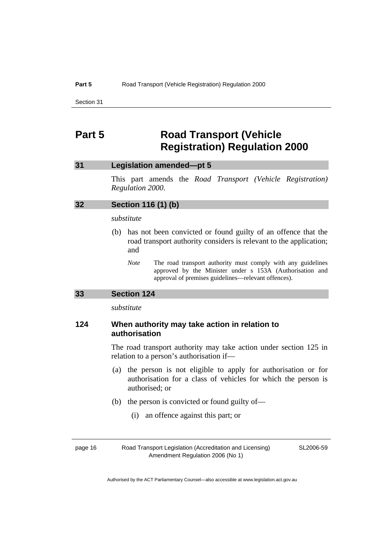# **Part 5 Road Transport (Vehicle Registration) Regulation 2000**

# **31 Legislation amended—pt 5**

This part amends the *Road Transport (Vehicle Registration) Regulation 2000*.

| 32 | Section 116 (1) (b) |  |  |  |
|----|---------------------|--|--|--|
|----|---------------------|--|--|--|

#### *substitute*

- (b) has not been convicted or found guilty of an offence that the road transport authority considers is relevant to the application; and
	- *Note* The road transport authority must comply with any guidelines approved by the Minister under s 153A (Authorisation and approval of premises guidelines—relevant offences).

#### **33 Section 124**

*substitute* 

# **124 When authority may take action in relation to authorisation**

The road transport authority may take action under section 125 in relation to a person's authorisation if—

- (a) the person is not eligible to apply for authorisation or for authorisation for a class of vehicles for which the person is authorised; or
- (b) the person is convicted or found guilty of—
	- (i) an offence against this part; or

page 16 Road Transport Legislation (Accreditation and Licensing) Amendment Regulation 2006 (No 1)

SL2006-59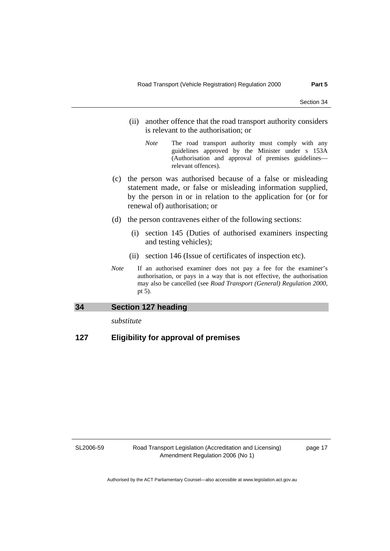- (ii) another offence that the road transport authority considers is relevant to the authorisation; or
	- *Note* The road transport authority must comply with any guidelines approved by the Minister under s 153A (Authorisation and approval of premises guidelines relevant offences).
- (c) the person was authorised because of a false or misleading statement made, or false or misleading information supplied, by the person in or in relation to the application for (or for renewal of) authorisation; or
- (d) the person contravenes either of the following sections:
	- (i) section 145 (Duties of authorised examiners inspecting and testing vehicles);
	- (ii) section 146 (Issue of certificates of inspection etc).
- *Note* If an authorised examiner does not pay a fee for the examiner's authorisation, or pays in a way that is not effective, the authorisation may also be cancelled (see *Road Transport (General) Regulation 2000*, pt 5).

#### **34 Section 127 heading**

*substitute* 

# **127 Eligibility for approval of premises**

SL2006-59

Road Transport Legislation (Accreditation and Licensing) Amendment Regulation 2006 (No 1)

page 17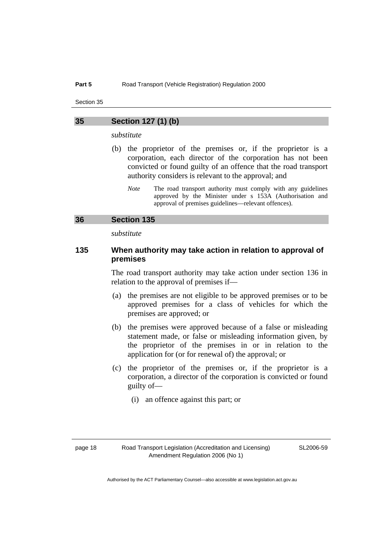### **35 Section 127 (1) (b)**

*substitute* 

- (b) the proprietor of the premises or, if the proprietor is a corporation, each director of the corporation has not been convicted or found guilty of an offence that the road transport authority considers is relevant to the approval; and
	- *Note* The road transport authority must comply with any guidelines approved by the Minister under s 153A (Authorisation and approval of premises guidelines—relevant offences).

# **36 Section 135**

*substitute* 

# **135 When authority may take action in relation to approval of premises**

The road transport authority may take action under section 136 in relation to the approval of premises if—

- (a) the premises are not eligible to be approved premises or to be approved premises for a class of vehicles for which the premises are approved; or
- (b) the premises were approved because of a false or misleading statement made, or false or misleading information given, by the proprietor of the premises in or in relation to the application for (or for renewal of) the approval; or
- (c) the proprietor of the premises or, if the proprietor is a corporation, a director of the corporation is convicted or found guilty of—
	- (i) an offence against this part; or

SL2006-59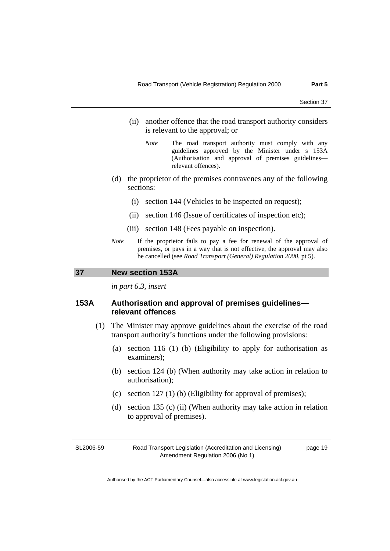- (ii) another offence that the road transport authority considers is relevant to the approval; or
	- *Note* The road transport authority must comply with any guidelines approved by the Minister under s 153A (Authorisation and approval of premises guidelines relevant offences).
- (d) the proprietor of the premises contravenes any of the following sections:
	- (i) section 144 (Vehicles to be inspected on request);
	- (ii) section 146 (Issue of certificates of inspection etc);
	- (iii) section 148 (Fees payable on inspection).
- *Note* If the proprietor fails to pay a fee for renewal of the approval of premises, or pays in a way that is not effective, the approval may also be cancelled (see *Road Transport (General) Regulation 2000*, pt 5).

#### **37 New section 153A**

*in part 6.3, insert* 

# **153A Authorisation and approval of premises guidelines relevant offences**

- (1) The Minister may approve guidelines about the exercise of the road transport authority's functions under the following provisions:
	- (a) section 116 (1) (b) (Eligibility to apply for authorisation as examiners);
	- (b) section 124 (b) (When authority may take action in relation to authorisation);
	- (c) section 127 (1) (b) (Eligibility for approval of premises);
	- (d) section 135 (c) (ii) (When authority may take action in relation to approval of premises).

SL2006-59

Road Transport Legislation (Accreditation and Licensing) Amendment Regulation 2006 (No 1)

page 19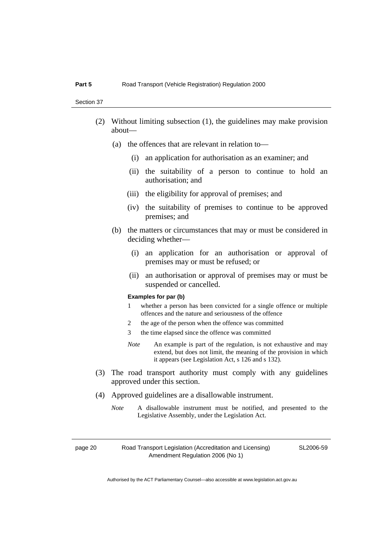- (2) Without limiting subsection (1), the guidelines may make provision about—
	- (a) the offences that are relevant in relation to—
		- (i) an application for authorisation as an examiner; and
		- (ii) the suitability of a person to continue to hold an authorisation; and
		- (iii) the eligibility for approval of premises; and
		- (iv) the suitability of premises to continue to be approved premises; and
	- (b) the matters or circumstances that may or must be considered in deciding whether—
		- (i) an application for an authorisation or approval of premises may or must be refused; or
		- (ii) an authorisation or approval of premises may or must be suspended or cancelled.

#### **Examples for par (b)**

- 1 whether a person has been convicted for a single offence or multiple offences and the nature and seriousness of the offence
- 2 the age of the person when the offence was committed
- 3 the time elapsed since the offence was committed
- *Note* An example is part of the regulation, is not exhaustive and may extend, but does not limit, the meaning of the provision in which it appears (see Legislation Act, s 126 and s 132).
- (3) The road transport authority must comply with any guidelines approved under this section.
- (4) Approved guidelines are a disallowable instrument.
	- *Note* A disallowable instrument must be notified, and presented to the Legislative Assembly, under the Legislation Act.

page 20 Road Transport Legislation (Accreditation and Licensing) Amendment Regulation 2006 (No 1)

SL2006-59